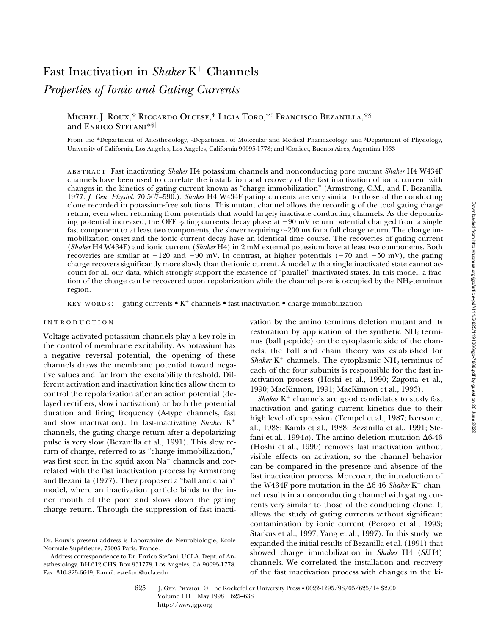# Fast Inactivation in *Shaker* K<sup>+</sup> Channels *Properties of Ionic and Gating Currents*

# Michel J. Roux,\* Riccardo Olcese,\* Ligia Toro,\*‡ Francisco Bezanilla,\*§ and ENRICO STEFANI\*S

From the \*Department of Anesthesiology, ‡Department of Molecular and Medical Pharmacology, and §Department of Physiology, University of California, Los Angeles, Los Angeles, California 90095-1778; and <sup>i</sup> Conicet, Buenos Aires, Argentina 1033

abstract Fast inactivating *Shaker* H4 potassium channels and nonconducting pore mutant *Shaker* H4 W434F channels have been used to correlate the installation and recovery of the fast inactivation of ionic current with changes in the kinetics of gating current known as "charge immobilization" (Armstrong, C.M., and F. Bezanilla. 1977. *J. Gen. Physiol.* 70:567–590.). *Shaker* H4 W434F gating currents are very similar to those of the conducting clone recorded in potassium-free solutions. This mutant channel allows the recording of the total gating charge return, even when returning from potentials that would largely inactivate conducting channels. As the depolarizing potential increased, the OFF gating currents decay phase at  $-90$  mV return potential changed from a single fast component to at least two components, the slower requiring  $\sim$ 200 ms for a full charge return. The charge immobilization onset and the ionic current decay have an identical time course. The recoveries of gating current (*Shaker* H4 W434F) and ionic current (*Shaker* H4) in 2 mM external potassium have at least two components. Both recoveries are similar at  $-120$  and  $-90$  mV. In contrast, at higher potentials ( $-70$  and  $-50$  mV), the gating charge recovers significantly more slowly than the ionic current. A model with a single inactivated state cannot account for all our data, which strongly support the existence of "parallel" inactivated states. In this model, a fraction of the charge can be recovered upon repolarization while the channel pore is occupied by the  $NH<sub>2</sub>$ -terminus region.

KEY WORDS: gating currents  $\bullet$  K<sup>+</sup> channels  $\bullet$  fast inactivation  $\bullet$  charge immobilization

## introduction

Voltage-activated potassium channels play a key role in the control of membrane excitability. As potassium has a negative reversal potential, the opening of these channels draws the membrane potential toward negative values and far from the excitability threshold. Different activation and inactivation kinetics allow them to control the repolarization after an action potential (delayed rectifiers, slow inactivation) or both the potential duration and firing frequency (A-type channels, fast and slow inactivation). In fast-inactivating *Shaker* K<sup>+</sup> channels, the gating charge return after a depolarizing pulse is very slow (Bezanilla et al., 1991). This slow return of charge, referred to as "charge immobilization," was first seen in the squid axon  $Na<sup>+</sup>$  channels and correlated with the fast inactivation process by Armstrong and Bezanilla (1977). They proposed a "ball and chain" model, where an inactivation particle binds to the inner mouth of the pore and slows down the gating charge return. Through the suppression of fast inactivation by the amino terminus deletion mutant and its restoration by application of the synthetic  $NH<sub>2</sub>$  terminus (ball peptide) on the cytoplasmic side of the channels, the ball and chain theory was established for *Shaker*  $K^+$  channels. The cytoplasmic  $NH_2$  terminus of each of the four subunits is responsible for the fast inactivation process (Hoshi et al., 1990; Zagotta et al., 1990; MacKinnon, 1991; MacKinnon et al., 1993).

*Shaker* K<sup>+</sup> channels are good candidates to study fast inactivation and gating current kinetics due to their high level of expression (Tempel et al., 1987; Iverson et al., 1988; Kamb et al., 1988; Bezanilla et al., 1991; Stefani et al., 1994*a*). The amino deletion mutation  $\Delta 6$ -46 (Hoshi et al., 1990) removes fast inactivation without visible effects on activation, so the channel behavior can be compared in the presence and absence of the fast inactivation process. Moreover, the introduction of the W434F pore mutation in the  $\Delta 6$ -46 *Shaker* K<sup>+</sup> channel results in a nonconducting channel with gating currents very similar to those of the conducting clone. It allows the study of gating currents without significant contamination by ionic current (Perozo et al., 1993; Starkus et al., 1997; Yang et al., 1997). In this study, we expanded the initial results of Bezanilla et al. (1991) that showed charge immobilization in *Shaker* H4 (*Sh*H4) channels. We correlated the installation and recovery of the fast inactivation process with changes in the ki-

Dr. Roux's present address is Laboratoire de Neurobiologie, Ecole Normale Supérieure, 75005 Paris, France.

Address correspondence to Dr. Enrico Stefani, UCLA, Dept. of Anesthesiology, BH-612 CHS, Box 951778, Los Angeles, CA 90095-1778. Fax: 310-825-6649; E-mail: estefani@ucla.edu

<sup>625</sup> J. Gen. Physiol. © The Rockefeller University Press • 0022-1295/98/05/625/14 \$2.00 Volume 111 May 1998 625–638 http://www.jgp.org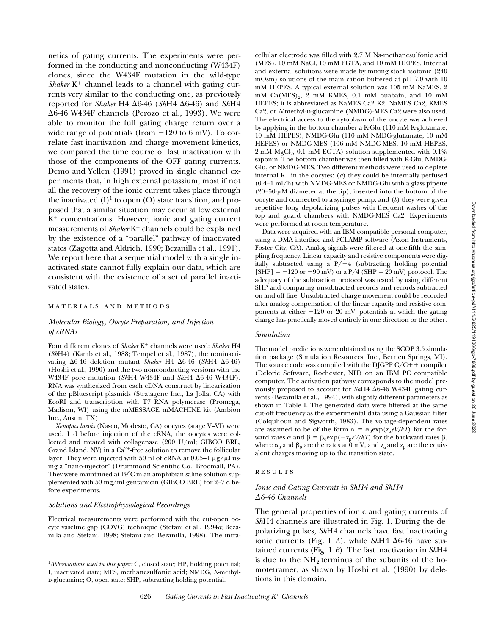netics of gating currents. The experiments were performed in the conducting and nonconducting (W434F) clones, since the W434F mutation in the wild-type *Shaker*  $K^+$  channel leads to a channel with gating currents very similar to the conducting one, as previously reported for *Shaker* H4  $\Delta 6$ -46 (*ShH4*  $\Delta 6$ -46) and *ShH4*  $\Delta 6$ -46 W434F channels (Perozo et al., 1993). We were able to monitor the full gating charge return over a wide range of potentials (from  $-120$  to 6 mV). To correlate fast inactivation and charge movement kinetics, we compared the time course of fast inactivation with those of the components of the OFF gating currents. Demo and Yellen (1991) proved in single channel experiments that, in high external potassium, most if not all the recovery of the ionic current takes place through the inactivated  $(I)^1$  to open  $(O)$  state transition, and proposed that a similar situation may occur at low external  $K^+$  concentrations. However, ionic and gating current measurements of *Shaker* K<sup>+</sup> channels could be explained by the existence of a "parallel" pathway of inactivated states (Zagotta and Aldrich, 1990; Bezanilla et al., 1991). We report here that a sequential model with a single inactivated state cannot fully explain our data, which are consistent with the existence of a set of parallel inactivated states.

#### materials and methods

# *Molecular Biology, Oocyte Preparation, and Injection of cRNAs*

Four different clones of *Shaker* K<sup>+</sup> channels were used: *Shaker* H4 (*Sh*H4) (Kamb et al., 1988; Tempel et al., 1987), the noninactivating D6-46 deletion mutant *Shaker* H4 D6-46 (*Sh*H4 D6-46) (Hoshi et al., 1990) and the two nonconducting versions with the W434F pore mutation (*ShH4* W434F and *ShH4*  $\Delta$ 6-46 W434F). RNA was synthesized from each cDNA construct by linearization of the pBluescript plasmids (Stratagene Inc., La Jolla, CA) with EcoRI and transcription with T7 RNA polymerase (Promega, Madison, WI) using the mMESSAGE mMACHINE kit (Ambion Inc., Austin, TX).

*Xenopus laevis* (Nasco, Modesto, CA) oocytes (stage V–VI) were used. 1 d before injection of the cRNA, the oocytes were collected and treated with collagenase (200 U/ml; GIBCO BRL, Grand Island, NY) in a  $Ca^{2+}$ -free solution to remove the follicular layer. They were injected with 50 nl of cRNA at 0.05–1  $\mu$ g/ $\mu$ l using a "nano-injector" (Drummond Scientific Co., Broomall, PA). They were maintained at  $19^{\circ}$ C in an amphibian saline solution supplemented with 50 mg/ml gentamicin (GIBCO BRL) for 2–7 d before experiments.

## *Solutions and Electrophysiological Recordings*

Electrical measurements were performed with the cut-open oocyte vaseline gap (COVG) technique (Stefani et al., 1994*a*; Bezanilla and Stefani, 1998; Stefani and Bezanilla, 1998). The intra-

cellular electrode was filled with 2.7 M Na-methanesulfonic acid (MES), 10 mM NaCl, 10 mM EGTA, and 10 mM HEPES. Internal and external solutions were made by mixing stock isotonic (240 mOsm) solutions of the main cation buffered at pH 7.0 with 10 mM HEPES. A typical external solution was 105 mM NaMES, 2 mM  $Ca(MES)<sub>2</sub>$ , 2 mM KMES, 0.1 mM ouabain, and 10 mM HEPES; it is abbreviated as NaMES Ca2 K2. NaMES Ca2, KMES Ca2, or *N*-methyl-p-glucamine (NMDG)-MES Ca2 were also used. The electrical access to the cytoplasm of the oocyte was achieved by applying in the bottom chamber a K-Glu (110 mM K-glutamate, 10 mM HEPES), NMDG-Glu (110 mM NMDG-glutamate, 10 mM HEPES) or NMDG-MES (106 mM NMDG-MES, 10 mM HEPES, 2 mM  $MgCl<sub>2</sub>$ , 0.1 mM EGTA) solution supplemented with 0.1% saponin. The bottom chamber was then filled with K-Glu, NMDG-Glu, or NMDG-MES. Two different methods were used to deplete internal  $K^+$  in the oocytes: (*a*) they could be internally perfused (0.4–1 ml/h) with NMDG-MES or NMDG-Glu with a glass pipette  $(20-50-\mu)$  diameter at the tip), inserted into the bottom of the oocyte and connected to a syringe pump; and (*b*) they were given repetitive long depolarizing pulses with frequent washes of the top and guard chambers with NMDG-MES Ca2. Experiments were performed at room temperature.

Data were acquired with an IBM compatible personal computer, using a DMA interface and PCLAMP software (Axon Instruments, Foster City, CA). Analog signals were filtered at one-fifth the sampling frequency. Linear capacity and resistive components were digitally subtracted using a  $P/-4$  (subtracting holding potential  $[SHP] = -120$  or  $-90$  mV) or a P/4 (SHP = 20 mV) protocol. The adequacy of the subtraction protocol was tested by using different SHP and comparing unsubtracted records and records subtracted on and off line. Unsubtracted charge movement could be recorded after analog compensation of the linear capacity and resistive components at either  $-120$  or 20 mV, potentials at which the gating charge has practically moved entirely in one direction or the other.

## *Simulation*

The model predictions were obtained using the SCOP 3.5 simulation package (Simulation Resources, Inc., Berrien Springs, MI). The source code was compiled with the DJGPP  $C/C++$  compiler (Delorie Software, Rochester, NH) on an IBM PC compatible computer. The activation pathway corresponds to the model previously proposed to account for *Sh*H4 D6-46 W434F gating currents (Bezanilla et al., 1994), with slightly different parameters as shown in Table I. The generated data were filtered at the same cut-off frequency as the experimental data using a Gaussian filter (Colquhoun and Sigworth, 1983). The voltage-dependent rates are assumed to be of the form  $\alpha = \alpha_0 \exp(z_\alpha eV/kT)$  for the forward rates  $\alpha$  and  $\beta = \beta_0 \exp(-z_0 eV/kT)$  for the backward rates  $\beta$ , where  $\alpha_0$  and  $\beta_0$  are the rates at 0 mV, and  $z_\alpha$  and  $z_\beta$  are the equivalent charges moving up to the transition state.

## **RESULTS**

# *Ionic and Gating Currents in ShH4 and ShH4*  D*6-46 Channels*

The general properties of ionic and gating currents of *Sh*H4 channels are illustrated in Fig. 1. During the depolarizing pulses, *Sh*H4 channels have fast inactivating ionic currents (Fig. 1 *A*), while *ShH4*  $\Delta$ 6-46 have sustained currents (Fig. 1 *B*). The fast inactivation in *Sh*H4 is due to the  $NH<sub>2</sub>$  terminus of the subunits of the homotetramer, as shown by Hoshi et al. (1990) by deletions in this domain.

<sup>1</sup>*Abbreviations used in this paper:* C, closed state; HP, holding potential; I, inactivated state; MES, methanesulfonic acid; NMDG, *N*-methyld-glucamine; O, open state; SHP, subtracting holding potential.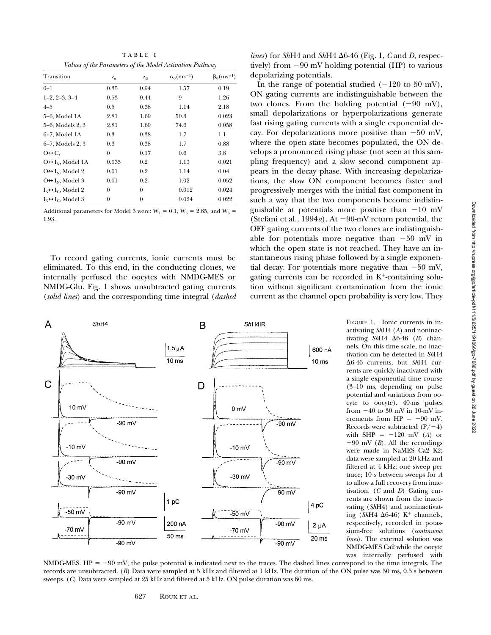| Transition                                                                  | $Z_{\alpha}$ | $Z_{\beta}$      | $\alpha_0(ms^{-1})$ | $\beta_0$ (ms <sup>-1</sup> ) |
|-----------------------------------------------------------------------------|--------------|------------------|---------------------|-------------------------------|
| $0 - 1$                                                                     | 0.35         | 0.94             | 1.57                | 0.19                          |
| $1-2, 2-3, 3-4$                                                             | 0.53         | 0.44             | 9                   | 1.26                          |
| $4 - 5$                                                                     | 0.5          | 0.38             | 1.14                | 2.18                          |
| 5–6, Model 1A                                                               | 2.81         | 1.69             | 50.3                | 0.023                         |
| 5-6, Models 2, 3                                                            | 2.81         | 1.69             | 74.6                | 0.058                         |
| 6-7, Model 1A                                                               | 0.3          | 0.38             | 1.7                 | 1.1                           |
| 6-7, Models 2, 3                                                            | 0.3          | 0.38             | 1.7                 | 0.88                          |
| $O \leftrightarrow C_f$                                                     | $\theta$     | 0.17             | 0.6                 | 3.8                           |
| $O \leftrightarrow I_N$ , Model 1A                                          | 0.035        | 0.2              | 1.13                | 0.021                         |
| $O \leftrightarrow I_N$ , Model 2                                           | 0.01         | 0.2              | 1.14                | 0.04                          |
| $O \leftrightarrow I_N$ , Model 3                                           | 0.01         | 0.2              | 1.02                | 0.052                         |
| $\textbf{I}_{\text{N}}\!\!\leftrightarrow\!\!\textbf{I}_{\text{C}}$ Model 2 | $\theta$     | $\theta$         | 0.012               | 0.024                         |
| $I_N \leftrightarrow I_C$ , Model 3                                         | 0            | $\boldsymbol{0}$ | 0.024               | 0.022                         |
|                                                                             |              |                  |                     |                               |

Additional parameters for Model 3 were:  $W_4 = 0.1$ ,  $W_5 = 2.85$ , and  $W_6 =$ 1.93.

To record gating currents, ionic currents must be eliminated. To this end, in the conducting clones, we internally perfused the oocytes with NMDG-MES or NMDG-Glu. Fig. 1 shows unsubtracted gating currents (*solid lines*) and the corresponding time integral (*dashed*



*lines*) for *Sh*H4 and *ShH4*  $\Delta$ 6-46 (Fig. 1, *C* and *D*, respectively) from  $-90$  mV holding potential (HP) to various depolarizing potentials.

In the range of potential studied  $(-120 \text{ to } 50 \text{ mV})$ , ON gating currents are indistinguishable between the two clones. From the holding potential  $(-90 \text{ mV})$ , small depolarizations or hyperpolarizations generate fast rising gating currents with a single exponential decay. For depolarizations more positive than  $-50$  mV, where the open state becomes populated, the ON develops a pronounced rising phase (not seen at this sampling frequency) and a slow second component appears in the decay phase. With increasing depolarizations, the slow ON component becomes faster and progressively merges with the initial fast component in such a way that the two components become indistinguishable at potentials more positive than  $-10$  mV (Stefani et al., 1994*a*). At  $-90$ -mV return potential, the OFF gating currents of the two clones are indistinguishable for potentials more negative than  $-50$  mV in which the open state is not reached. They have an instantaneous rising phase followed by a single exponential decay. For potentials more negative than  $-50$  mV, gating currents can be recorded in  $K^+$ -containing solution without significant contamination from the ionic current as the channel open probability is very low. They

> Figure 1. Ionic currents in inactivating *Sh*H4 (*A*) and noninactivating  $ShH4 \Delta 6-46$  (*B*) channels. On this time scale, no inactivation can be detected in *Sh*H4 Δ6-46 currents, but *Sh*H4 currents are quickly inactivated with a single exponential time course (3–10 ms, depending on pulse potential and variations from oocyte to oocyte). 40-ms pulses from  $-40$  to 30 mV in 10-mV increments from  $HP = -90$  mV. Records were subtracted  $(P/-4)$ with SHP  $= -120$  mV (*A*) or  $-90$  mV (*B*). All the recordings were made in NaMES Ca2 K2; data were sampled at 20 kHz and filtered at 4 kHz; one sweep per trace; 10 s between sweeps for *A* to allow a full recovery from inactivation. (*C* and *D*) Gating currents are shown from the inactivating (*Sh*H4) and noninactivating (*Sh*H4  $\Delta$ 6-46) K<sup>+</sup> channels, respectively, recorded in potassium-free solutions (*continuous lines*). The external solution was NMDG-MES Ca2 while the oocyte was internally perfused with

NMDG-MES.  $HP = -90$  mV, the pulse potential is indicated next to the traces. The dashed lines correspond to the time integrals. The records are unsubtracted. (*B*) Data were sampled at 5 kHz and filtered at 1 kHz. The duration of the ON pulse was 50 ms, 0.5 s between sweeps. (*C*) Data were sampled at 25 kHz and filtered at 5 kHz. ON pulse duration was 60 ms.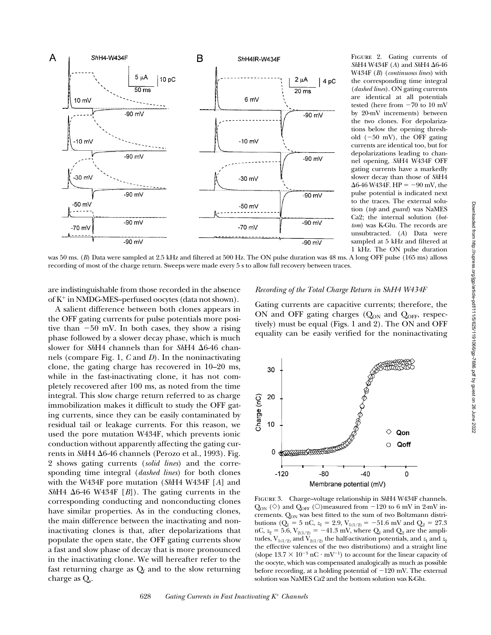

FIGURE 2. Gating currents of *Sh*H4 W434F (*A*) and *Sh*H4 D6-46 W434F (*B*) (*continuous lines*) with the corresponding time integral (*dashed lines*). ON gating currents are identical at all potentials tested (here from  $-70$  to  $10$  mV by 20-mV increments) between the two clones. For depolarizations below the opening threshold  $(-50 \text{ mV})$ , the OFF gating currents are identical too, but for depolarizations leading to channel opening, *Sh*H4 W434F OFF gating currents have a markedly slower decay than those of *Sh*H4  $\Delta 6-46$  W434F. HP = -90 mV, the pulse potential is indicated next to the traces. The external solution (*top* and *guard*) was NaMES Ca2; the internal solution (*bottom*) was K-Glu. The records are unsubtracted. (*A*) Data were sampled at 5 kHz and filtered at 1 kHz. The ON pulse duration

was 50 ms. (*B*) Data were sampled at 2.5 kHz and filtered at 500 Hz. The ON pulse duration was 48 ms. A long OFF pulse (165 ms) allows recording of most of the charge return. Sweeps were made every 5 s to allow full recovery between traces.

are indistinguishable from those recorded in the absence of  $K^+$  in NMDG-MES–perfused oocytes (data not shown).

A salient difference between both clones appears in the OFF gating currents for pulse potentials more positive than  $-50$  mV. In both cases, they show a rising phase followed by a slower decay phase, which is much slower for *ShH4* channels than for *ShH4*  $\Delta$ 6-46 channels (compare Fig. 1, *C* and *D*). In the noninactivating clone, the gating charge has recovered in 10–20 ms, while in the fast-inactivating clone, it has not completely recovered after 100 ms, as noted from the time integral. This slow charge return referred to as charge immobilization makes it difficult to study the OFF gating currents, since they can be easily contaminated by residual tail or leakage currents. For this reason, we used the pore mutation W434F, which prevents ionic conduction without apparently affecting the gating currents in *Sh*H4 D6-46 channels (Perozo et al., 1993). Fig. 2 shows gating currents (*solid lines*) and the corresponding time integral (*dashed lines*) for both clones with the W434F pore mutation (*Sh*H4 W434F [*A*] and *Sh*H4  $\Delta$ 6-46 W434F [*B*]). The gating currents in the corresponding conducting and nonconducting clones have similar properties. As in the conducting clones, the main difference between the inactivating and noninactivating clones is that, after depolarizations that populate the open state, the OFF gating currents show a fast and slow phase of decay that is more pronounced in the inactivating clone. We will hereafter refer to the fast returning charge as  $Q_f$  and to the slow returning charge as  $Q_s$ .

## *Recording of the Total Charge Return in ShH4 W434F*

Gating currents are capacitive currents; therefore, the ON and OFF gating charges  $(Q_{ON}$  and  $Q_{OFF}$ , respectively) must be equal (Figs. 1 and 2). The ON and OFF equality can be easily verified for the noninactivating



Figure 3. Charge–voltage relationship in *Sh*H4 W434F channels.  $Q_{ON}$  ( $\diamond$ ) and  $Q_{OFF}$  ( $\diamond$ ) measured from -120 to 6 mV in 2-mV increments. Q<sub>ON</sub> was best fitted to the sum of two Boltzmann distributions ( $Q_1 = 5$  nC,  $z_1 = 2.9$ ,  $V_{1(1/2)} = -51.6$  mV and  $Q_2 = 27.3$ nC,  $z_2 = 5.6$ ,  $V_{2(1/2)} = -41.3$  mV, where Q<sub>1</sub> and Q<sub>2</sub> are the amplitudes,  $V_{1(1/2)}$  and  $V_{2(1/2)}$  the half-activation potentials, and  $z_1$  and  $z_2$ the effective valences of the two distributions) and a straight line (slope  $13.7 \times 10^{-3}$  nC  $\cdot$  mV<sup>-1</sup>) to account for the linear capacity of the oocyte, which was compensated analogically as much as possible before recording, at a holding potential of  $-120$  mV. The external solution was NaMES Ca2 and the bottom solution was K-Glu.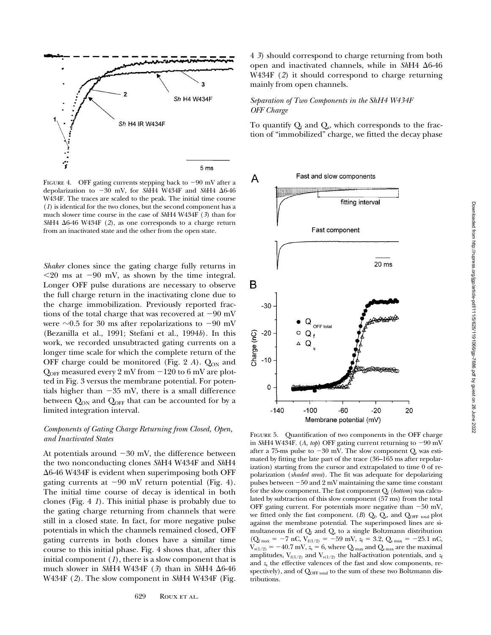

FIGURE 4. OFF gating currents stepping back to  $-90$  mV after a depolarization to 230 mV, for *Sh*H4 W434F and *Sh*H4 D6-46 W434F. The traces are scaled to the peak. The initial time course (*1*) is identical for the two clones, but the second component has a much slower time course in the case of *Sh*H4 W434F (*3*) than for *ShI*H4  $\Delta$ 6-46 W434F (2), as one corresponds to a charge return from an inactivated state and the other from the open state.

*Shaker* clones since the gating charge fully returns in  $\leq$ 20 ms at  $-90$  mV, as shown by the time integral. Longer OFF pulse durations are necessary to observe the full charge return in the inactivating clone due to the charge immobilization. Previously reported fractions of the total charge that was recovered at  $-90$  mV were  $\sim 0.5$  for 30 ms after repolarizations to  $-90$  mV (Bezanilla et al., 1991; Stefani et al., 1994*b*). In this work, we recorded unsubtracted gating currents on a longer time scale for which the complete return of the OFF charge could be monitored (Fig. 2  $A$ ).  $Q_{ON}$  and  $Q_{\text{OFF}}$  measured every 2 mV from  $-120$  to 6 mV are plotted in Fig. 3 versus the membrane potential. For potentials higher than  $-35$  mV, there is a small difference between  $Q_{ON}$  and  $Q_{OFF}$  that can be accounted for by a limited integration interval.

# *Components of Gating Charge Returning from Closed, Open, and Inactivated States*

At potentials around  $-30$  mV, the difference between the two nonconducting clones *Sh*H4 W434F and *Sh*H4  $\Delta$ 6-46 W434F is evident when superimposing both OFF gating currents at  $-90$  mV return potential (Fig. 4). The initial time course of decay is identical in both clones (Fig. 4 *1*). This initial phase is probably due to the gating charge returning from channels that were still in a closed state. In fact, for more negative pulse potentials in which the channels remained closed, OFF gating currents in both clones have a similar time course to this initial phase. Fig. 4 shows that, after this initial component (*1*), there is a slow component that is much slower in *Sh*H4 W434F (3) than in *ShH4*  $\Delta$ 6-46 W434F (*2*). The slow component in *Sh*H4 W434F (Fig.

4 *3*) should correspond to charge returning from both open and inactivated channels, while in *Sh*H4 D6-46 W434F (*2*) it should correspond to charge returning mainly from open channels.

## *Separation of Two Components in the ShH4 W434F OFF Charge*

To quantify  $Q_f$  and  $Q_s$ , which corresponds to the fraction of "immobilized" charge, we fitted the decay phase



FIGURE 5. Quantification of two components in the OFF charge in *Sh*H4 W434F. (*A, top*) OFF gating current returning to  $-90$  mV after a 75-ms pulse to  $-30$  mV. The slow component  $Q_s$  was estimated by fitting the late part of the trace (36–165 ms after repolarization) starting from the cursor and extrapolated to time 0 of repolarization (*shaded area*). The fit was adequate for depolarizing pulses between  $-50$  and  $2$  mV maintaining the same time constant for the slow component. The fast component  $Q_f$  (*bottom*) was calculated by subtraction of this slow component (57 ms) from the total OFF gating current. For potentials more negative than  $-50$  mV, we fitted only the fast component. ( $B$ )  $Q_f$ ,  $Q_s$ , and  $Q_{\text{OFF total}}$  plot against the membrane potential. The superimposed lines are simultaneous fit of  $Q_f$  and  $Q_s$  to a single Boltzmann distribution  $(Q<sub>f</sub>$ <sub>max</sub> = -7 nC,  $V<sub>f(1/2)</sub>$  = -59 mV,  $z<sub>f</sub>$  = 3.2,  $Q<sub>s</sub>$ <sub>max</sub> = -25.1 nC,  $V_{s(1/2)} = -40.7$  mV,  $z_s = 6$ , where  $Q_{f_{\text{max}}}$  and  $Q_{s_{\text{max}}}$  are the maximal amplitudes,  $V_{f(1/2)}$  and  $V_{s(1/2)}$  the half-activation potentials, and  $z_f$ and  $z$ <sub>s</sub> the effective valences of the fast and slow components, respectively), and of Q<sub>OFF total</sub> to the sum of these two Boltzmann distributions.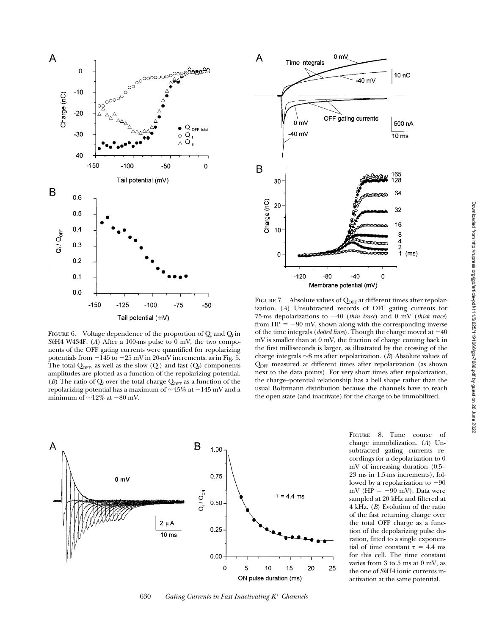

FIGURE 6. Voltage dependence of the proportion of  $Q_s$  and  $Q_f$  in *Sh*H4 W434F. (*A*) After a 100-ms pulse to 0 mV, the two components of the OFF gating currents were quantified for repolarizing potentials from  $-145$  to  $-25$  mV in 20-mV increments, as in Fig. 5. The total  $Q_{\text{OFF}}$ , as well as the slow  $(Q_s)$  and fast  $(Q_f)$  components amplitudes are plotted as a function of the repolarizing potential. (*B*) The ratio of  $Q_f$  over the total charge  $Q_{\text{OFF}}$  as a function of the repolarizing potential has a maximum of  $\sim$ 45% at  $-145$  mV and a minimum of  $\sim$ 12% at -80 mV.



FIGURE 7. Absolute values of  $Q<sub>OFF</sub>$  at different times after repolarization. (*A*) Unsubtracted records of OFF gating currents for 75-ms depolarizations to  $-40$  (*thin trace*) and 0 mV (*thick trace*) from  $HP = -90$  mV, shown along with the corresponding inverse of the time integrals (*dotted lines*). Though the charge moved at  $-40$ mV is smaller than at 0 mV, the fraction of charge coming back in the first milliseconds is larger, as illustrated by the crossing of the charge integrals  $\sim$ 8 ms after repolarization. (*B*) Absolute values of QOFF measured at different times after repolarization (as shown next to the data points). For very short times after repolarization, the charge–potential relationship has a bell shape rather than the usual Boltzmann distribution because the channels have to reach the open state (and inactivate) for the charge to be immobilized.



630 *Gating Currents in Fast Inactivating K*1 *Channels*

Figure 8. Time course of charge immobilization. (*A*) Unsubtracted gating currents recordings for a depolarization to 0 mV of increasing duration (0.5– 23 ms in 1.5-ms increments), followed by a repolarization to  $-90$ mV ( $HP = -90$  mV). Data were sampled at 20 kHz and filtered at 4 kHz. (*B*) Evolution of the ratio of the fast returning charge over the total OFF charge as a function of the depolarizing pulse duration, fitted to a single exponential of time constant  $\tau = 4.4$  ms for this cell. The time constant varies from 3 to 5 ms at 0 mV, as the one of *Sh*H4 ionic currents inactivation at the same potential.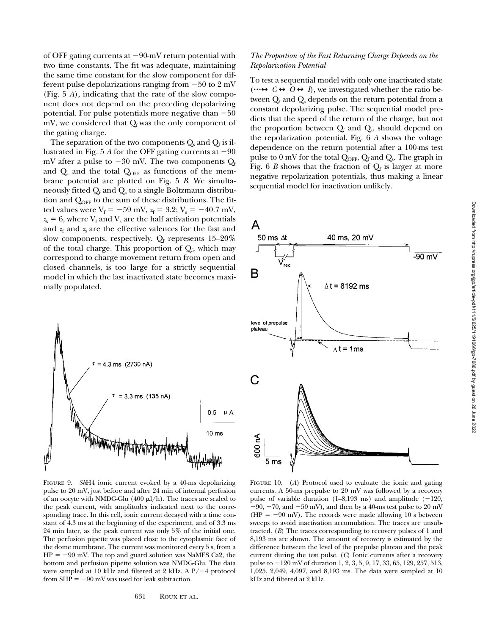of OFF gating currents at  $-90$ -mV return potential with two time constants. The fit was adequate, maintaining the same time constant for the slow component for different pulse depolarizations ranging from  $-50$  to 2 mV (Fig. 5 *A*), indicating that the rate of the slow component does not depend on the preceding depolarizing potential. For pulse potentials more negative than  $-50$ mV, we considered that  $Q_f$  was the only component of the gating charge.

The separation of the two components  $Q_s$  and  $Q_f$  is illustrated in Fig. 5 *A* for the OFF gating currents at  $-90$ mV after a pulse to  $-30$  mV. The two components  $Q_f$ and  $Q_s$  and the total  $Q_{\text{OFF}}$  as functions of the membrane potential are plotted on Fig. 5 *B*. We simultaneously fitted  $Q_f$  and  $Q_s$  to a single Boltzmann distribution and  $Q_{\text{OFF}}$  to the sum of these distributions. The fitted values were  $V_f = -59$  mV,  $z_f = 3.2$ ;  $V_s = -40.7$  mV,  $z_s = 6$ , where  $V_f$  and  $V_s$  are the half activation potentials and  $z_f$  and  $z_s$  are the effective valences for the fast and slow components, respectively.  $Q_f$  represents 15–20% of the total charge. This proportion of  $Q_f$ , which may correspond to charge movement return from open and closed channels, is too large for a strictly sequential model in which the last inactivated state becomes maximally populated.



Figure 9. *Sh*H4 ionic current evoked by a 40-ms depolarizing pulse to 20 mV, just before and after 24 min of internal perfusion of an oocyte with NMDG-Glu  $(400 \mu l/h)$ . The traces are scaled to the peak current, with amplitudes indicated next to the corresponding trace. In this cell, ionic current decayed with a time constant of 4.3 ms at the beginning of the experiment, and of 3.3 ms 24 min later, as the peak current was only 5% of the initial one. The perfusion pipette was placed close to the cytoplasmic face of the dome membrane. The current was monitored every 5 s, from a  $HP = -90$  mV. The top and guard solution was NaMES Ca2, the bottom and perfusion pipette solution was NMDG-Glu. The data were sampled at 10 kHz and filtered at 2 kHz. A  $P/-4$  protocol from  $SHP = -90$  mV was used for leak subtraction.

## *The Proportion of the Fast Returning Charge Depends on the Repolarization Potential*

To test a sequential model with only one inactivated state  $(\cdots \leftrightarrow C \leftrightarrow O \leftrightarrow I)$ , we investigated whether the ratio between  $\mathrm{Q}_{\mathrm{f}}$  and  $\mathrm{Q}_{\mathrm{s}}$  depends on the return potential from a constant depolarizing pulse. The sequential model predicts that the speed of the return of the charge, but not the proportion between  $\mathrm{Q}_{\mathrm{f}}$  and  $\mathrm{Q}_{\mathrm{s}}$ , should depend on the repolarization potential. Fig. 6 *A* shows the voltage dependence on the return potential after a 100-ms test pulse to  $0$  mV for the total  $Q_{\text{OFF}}$ ,  $Q_f$  and  $Q_s$ . The graph in Fig. 6  $B$  shows that the fraction of  $Q_f$  is larger at more negative repolarization potentials, thus making a linear sequential model for inactivation unlikely.



FIGURE 10. (*A*) Protocol used to evaluate the ionic and gating currents. A 50-ms prepulse to 20 mV was followed by a recovery pulse of variable duration  $(1-8,193 \text{ ms})$  and amplitude  $(-120,$  $-90$ ,  $-70$ , and  $-50$  mV), and then by a 40-ms test pulse to 20 mV (HP =  $-90$  mV). The records were made allowing 10 s between sweeps to avoid inactivation accumulation. The traces are unsubtracted. (*B*) The traces corresponding to recovery pulses of 1 and 8,193 ms are shown. The amount of recovery is estimated by the difference between the level of the prepulse plateau and the peak current during the test pulse. (*C*) Ionic currents after a recovery pulse to  $-120$  mV of duration 1, 2, 3, 5, 9, 17, 33, 65, 129, 257, 513, 1,025, 2,049, 4,097, and 8,193 ms. The data were sampled at 10 kHz and filtered at 2 kHz.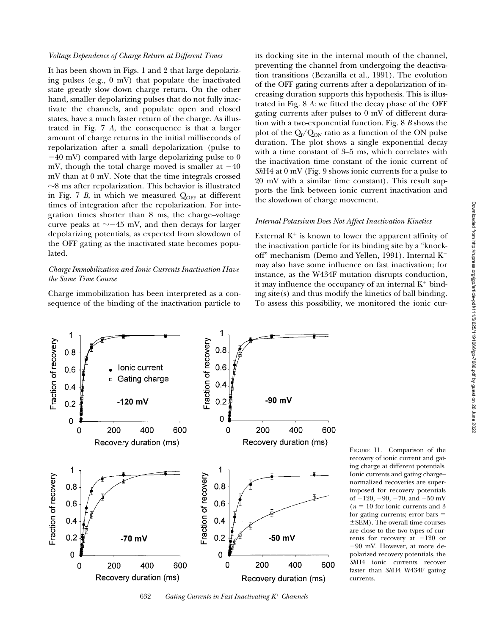It has been shown in Figs. 1 and 2 that large depolarizing pulses (e.g., 0 mV) that populate the inactivated state greatly slow down charge return. On the other hand, smaller depolarizing pulses that do not fully inactivate the channels, and populate open and closed states, have a much faster return of the charge. As illustrated in Fig. 7 *A*, the consequence is that a larger amount of charge returns in the initial milliseconds of repolarization after a small depolarization (pulse to  $-40$  mV) compared with large depolarizing pulse to 0 mV, though the total charge moved is smaller at  $-40$ mV than at 0 mV. Note that the time integrals crossed  $\sim$ 8 ms after repolarization. This behavior is illustrated in Fig. 7  $B$ , in which we measured  $Q<sub>OFF</sub>$  at different times of integration after the repolarization. For integration times shorter than 8 ms, the charge–voltage curve peaks at  $\sim$  -45 mV, and then decays for larger depolarizing potentials, as expected from slowdown of the OFF gating as the inactivated state becomes populated.

# *Charge Immobilization and Ionic Currents Inactivation Have the Same Time Course*

Charge immobilization has been interpreted as a consequence of the binding of the inactivation particle to its docking site in the internal mouth of the channel, preventing the channel from undergoing the deactivation transitions (Bezanilla et al., 1991). The evolution of the OFF gating currents after a depolarization of increasing duration supports this hypothesis. This is illustrated in Fig. 8 *A*: we fitted the decay phase of the OFF gating currents after pulses to 0 mV of different duration with a two-exponential function. Fig. 8 *B* shows the plot of the  $Q_f/Q_{ON}$  ratio as a function of the ON pulse duration. The plot shows a single exponential decay with a time constant of 3–5 ms, which correlates with the inactivation time constant of the ionic current of *Sh*H4 at 0 mV (Fig. 9 shows ionic currents for a pulse to 20 mV with a similar time constant). This result supports the link between ionic current inactivation and the slowdown of charge movement.

#### *Internal Potassium Does Not Affect Inactivation Kinetics*

External  $K^+$  is known to lower the apparent affinity of the inactivation particle for its binding site by a "knockoff" mechanism (Demo and Yellen, 1991). Internal  $K^+$ may also have some influence on fast inactivation; for instance, as the W434F mutation disrupts conduction, it may influence the occupancy of an internal  $K^+$  binding site(s) and thus modify the kinetics of ball binding. To assess this possibility, we monitored the ionic cur-



632 *Gating Currents in Fast Inactivating K*1 *Channels*

Figure 11. Comparison of the recovery of ionic current and gating charge at different potentials. Ionic currents and gating charge– normalized recoveries are superimposed for recovery potentials of  $-120$ ,  $-90$ ,  $-70$ , and  $-50$  mV  $(n = 10$  for ionic currents and 3 for gating currents; error bars  $=$  $\pm$ SEM). The overall time courses are close to the two types of currents for recovery at  $-120$  or  $-90$  mV. However, at more depolarized recovery potentials, the *Sh*H4 ionic currents recover faster than *Sh*H4 W434F gating currents.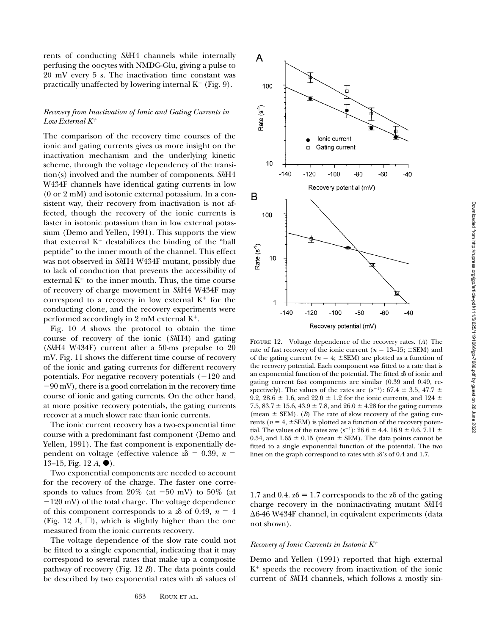rents of conducting *Sh*H4 channels while internally perfusing the oocytes with NMDG-Glu, giving a pulse to 20 mV every 5 s. The inactivation time constant was practically unaffected by lowering internal  $K^+$  (Fig. 9).

## *Recovery from Inactivation of Ionic and Gating Currents in Low External K*<sup>1</sup>

The comparison of the recovery time courses of the ionic and gating currents gives us more insight on the inactivation mechanism and the underlying kinetic scheme, through the voltage dependency of the transition(s) involved and the number of components. *Sh*H4 W434F channels have identical gating currents in low (0 or 2 mM) and isotonic external potassium. In a consistent way, their recovery from inactivation is not affected, though the recovery of the ionic currents is faster in isotonic potassium than in low external potassium (Demo and Yellen, 1991). This supports the view that external  $K^+$  destabilizes the binding of the "ball peptide" to the inner mouth of the channel. This effect was not observed in *Sh*H4 W434F mutant, possibly due to lack of conduction that prevents the accessibility of external  $K^+$  to the inner mouth. Thus, the time course of recovery of charge movement in *Sh*H4 W434F may correspond to a recovery in low external  $K^+$  for the conducting clone, and the recovery experiments were performed accordingly in 2 mM external  $K^+$ .

Fig. 10 *A* shows the protocol to obtain the time course of recovery of the ionic (*Sh*H4) and gating (*Sh*H4 W434F) current after a 50-ms prepulse to 20 mV. Fig. 11 shows the different time course of recovery of the ionic and gating currents for different recovery potentials. For negative recovery potentials  $(-120$  and  $-90$  mV), there is a good correlation in the recovery time course of ionic and gating currents. On the other hand, at more positive recovery potentials, the gating currents recover at a much slower rate than ionic currents.

The ionic current recovery has a two-exponential time course with a predominant fast component (Demo and Yellen, 1991). The fast component is exponentially dependent on voltage (effective valence  $z\delta = 0.39$ ,  $n =$ 13–15, Fig. 12 *A*, ●).

Two exponential components are needed to account for the recovery of the charge. The faster one corresponds to values from  $20\%$  (at  $-50$  mV) to  $50\%$  (at  $-120$  mV) of the total charge. The voltage dependence of this component corresponds to a  $\alpha$  of 0.49,  $n = 4$ (Fig. 12  $A$ ,  $\Box$ ), which is slightly higher than the one measured from the ionic currents recovery.

The voltage dependence of the slow rate could not be fitted to a single exponential, indicating that it may correspond to several rates that make up a composite pathway of recovery (Fig. 12 *B*). The data points could be described by two exponential rates with  $z\delta$  values of



Figure 12. Voltage dependence of the recovery rates. (*A*) The rate of fast recovery of the ionic current ( $n = 13-15$ ;  $\pm$ SEM) and of the gating current ( $n = 4$ ;  $\pm$ SEM) are plotted as a function of the recovery potential. Each component was fitted to a rate that is an exponential function of the potential. The fitted  $x\delta$  of ionic and gating current fast components are similar (0.39 and 0.49, respectively). The values of the rates are  $(s^{-1})$ : 67.4  $\pm$  3.5, 47.7  $\pm$ 9.2, 28.6  $\pm$  1.6, and 22.0  $\pm$  1.2 for the ionic currents, and 124  $\pm$ 7.5, 83.7  $\pm$  15.6, 43.9  $\pm$  7.8, and 26.0  $\pm$  4.28 for the gating currents (mean  $\pm$  SEM). (*B*) The rate of slow recovery of the gating currents ( $n = 4$ ,  $\pm$ SEM) is plotted as a function of the recovery potential. The values of the rates are (s<sup>-1</sup>): 26.6  $\pm$  4.4, 16.9  $\pm$  0.6, 7.11  $\pm$ 0.54, and 1.65  $\pm$  0.15 (mean  $\pm$  SEM). The data points cannot be fitted to a single exponential function of the potential. The two lines on the graph correspond to rates with *z*d's of 0.4 and 1.7.

1.7 and 0.4.  $z\delta = 1.7$  corresponds to the z $\delta$  of the gating charge recovery in the noninactivating mutant *Sh*H4  $\Delta$ 6-46 W434F channel, in equivalent experiments (data not shown).

#### *Recovery of Ionic Currents in Isotonic K*<sup>1</sup>

Demo and Yellen (1991) reported that high external  $K^+$  speeds the recovery from inactivation of the ionic current of *Sh*H4 channels, which follows a mostly sin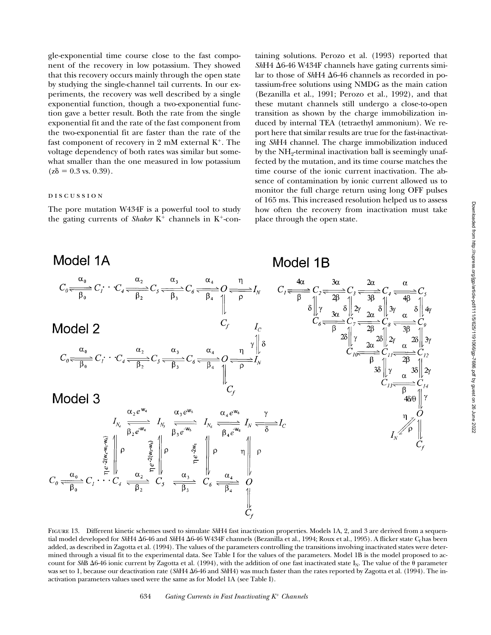gle-exponential time course close to the fast component of the recovery in low potassium. They showed that this recovery occurs mainly through the open state by studying the single-channel tail currents. In our experiments, the recovery was well described by a single exponential function, though a two-exponential function gave a better result. Both the rate from the single exponential fit and the rate of the fast component from the two-exponential fit are faster than the rate of the fast component of recovery in 2 mM external  $K^+$ . The voltage dependency of both rates was similar but somewhat smaller than the one measured in low potassium  $(z\delta = 0.3 \text{ vs. } 0.39)$ .

#### discussion

The pore mutation W434F is a powerful tool to study the gating currents of *Shaker*  $K^+$  channels in  $K^+$ -containing solutions. Perozo et al. (1993) reported that  $ShH4 \Delta 6$ -46 W434F channels have gating currents similar to those of *Sh*H4 Δ6-46 channels as recorded in potassium-free solutions using NMDG as the main cation (Bezanilla et al., 1991; Perozo et al., 1992), and that these mutant channels still undergo a close-to-open transition as shown by the charge immobilization induced by internal TEA (tetraethyl ammonium). We report here that similar results are true for the fast-inactivating *Sh*H4 channel. The charge immobilization induced by the NH<sub>2</sub>-terminal inactivation ball is seemingly unaffected by the mutation, and its time course matches the time course of the ionic current inactivation. The absence of contamination by ionic current allowed us to monitor the full charge return using long OFF pulses of 165 ms. This increased resolution helped us to assess how often the recovery from inactivation must take place through the open state.



FIGURE 13. Different kinetic schemes used to simulate *Sh*H4 fast inactivation properties. Models 1A, 2, and 3 are derived from a sequential model developed for *Sh*H4  $\Delta$ 6-46 and *ShH4*  $\Delta$ 6-46 W434F channels (Bezanilla et al., 1994; Roux et al., 1995). A flicker state C<sub>f</sub> has been added, as described in Zagotta et al. (1994). The values of the parameters controlling the transitions involving inactivated states were determined through a visual fit to the experimental data. See Table I for the values of the parameters. Model 1B is the model proposed to account for *ShB*  $\Delta$ 6-46 ionic current by Zagotta et al. (1994), with the addition of one fast inactivated state I<sub>N</sub>. The value of the  $\theta$  parameter was set to 1, because our deactivation rate (*ShH4*  $\Delta$ 6-46 and *ShH4*) was much faster than the rates reported by Zagotta et al. (1994). The inactivation parameters values used were the same as for Model 1A (see Table I).

634 *Gating Currents in Fast Inactivating K*1 *Channels*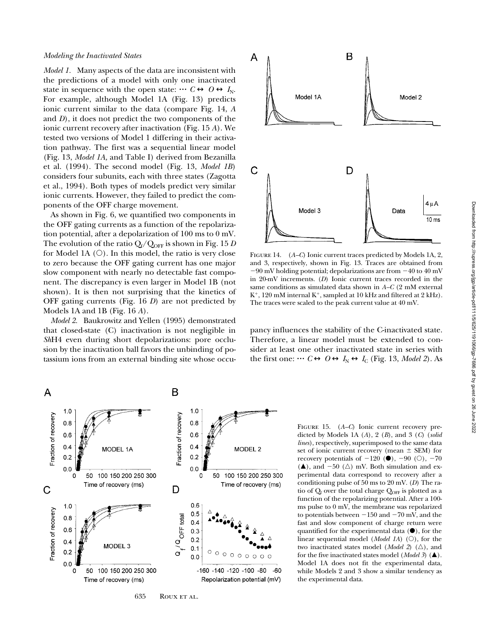### *Modeling the Inactivated States*

*Model 1.* Many aspects of the data are inconsistent with the predictions of a model with only one inactivated state in sequence with the open state:  $\cdots$   $C \leftrightarrow O \leftrightarrow I_N$ . For example, although Model 1A (Fig. 13) predicts ionic current similar to the data (compare Fig. 14, *A* and *D*), it does not predict the two components of the ionic current recovery after inactivation (Fig. 15 *A*). We tested two versions of Model 1 differing in their activation pathway. The first was a sequential linear model (Fig. 13, *Model 1A,* and Table I) derived from Bezanilla et al. (1994). The second model (Fig. 13, *Model 1B*) considers four subunits, each with three states (Zagotta et al., 1994). Both types of models predict very similar ionic currents. However, they failed to predict the components of the OFF charge movement.

As shown in Fig. 6, we quantified two components in the OFF gating currents as a function of the repolarization potential, after a depolarization of 100 ms to 0 mV. The evolution of the ratio  $Q_f/Q_{\text{OFF}}$  is shown in Fig. 15 *D* for Model 1A  $(O)$ . In this model, the ratio is very close to zero because the OFF gating current has one major slow component with nearly no detectable fast component. The discrepancy is even larger in Model 1B (not shown). It is then not surprising that the kinetics of OFF gating currents (Fig. 16 *D*) are not predicted by Models 1A and 1B (Fig. 16 *A*).

*Model 2.* Baukrowitz and Yellen (1995) demonstrated that closed-state (C) inactivation is not negligible in *Sh*H4 even during short depolarizations: pore occlusion by the inactivation ball favors the unbinding of potassium ions from an external binding site whose occu-



FIGURE 14. (A–C) Ionic current traces predicted by Models 1A, 2, and 3, respectively, shown in Fig. 13. Traces are obtained from  $-90$  mV holding potential; depolarizations are from  $-40$  to  $40$  mV in 20-mV increments. (*D*) Ionic current traces recorded in the same conditions as simulated data shown in *A–C* (2 mM external  $K^+$ , 120 mM internal  $K^+$ , sampled at 10 kHz and filtered at 2 kHz). The traces were scaled to the peak current value at 40 mV.

pancy influences the stability of the C-inactivated state. Therefore, a linear model must be extended to consider at least one other inactivated state in series with the first one:  $\cdots$  *C*  $\leftrightarrow$  *O*  $\leftrightarrow$  *I*<sub>N</sub>  $\leftrightarrow$  *I*<sub>C</sub> (Fig. 13, *Model 2*). As



FIGURE 15. (*A–C*) Ionic current recovery predicted by Models 1A (*A*), 2 (*B*), and 3 (*C*) (*solid lines*), respectively, superimposed to the same data set of ionic current recovery (mean  $\pm$  SEM) for recovery potentials of  $-120$  ( $\bullet$ ),  $-90$  ( $\circ$ ),  $-70$  $(\triangle)$ , and -50  $(\triangle)$  mV. Both simulation and experimental data correspond to recovery after a conditioning pulse of 50 ms to 20 mV. (*D*) The ratio of  $Q_f$  over the total charge  $Q_{\text{OFF}}$  is plotted as a function of the repolarizing potential. After a 100 ms pulse to 0 mV, the membrane was repolarized to potentials between  $-150$  and  $-70$  mV, and the fast and slow component of charge return were quantified for the experimental data  $(\bullet)$ , for the linear sequential model (*Model 1A*)  $(O)$ , for the two inactivated states model (*Model 2*)  $(\triangle)$ , and for the five inactivated states model (*Model 3*) ( $\triangle$ ). Model 1A does not fit the experimental data, while Models 2 and 3 show a similar tendency as the experimental data.

635 ROUX ET AL.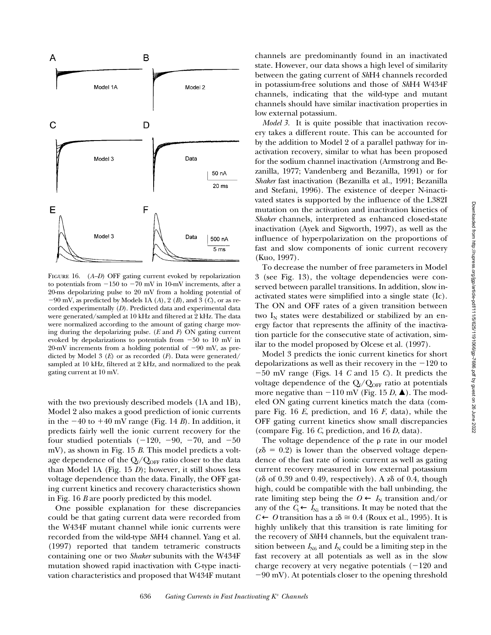

FIGURE 16. (*A–D*) OFF gating current evoked by repolarization to potentials from  $-150$  to  $-70$  mV in 10-mV increments, after a 20-ms depolarizing pulse to 20 mV from a holding potential of  $-90$  mV, as predicted by Models 1A (A), 2 (B), and 3 (C), or as recorded experimentally (*D*). Predicted data and experimental data were generated/sampled at 10 kHz and filtered at 2 kHz. The data were normalized according to the amount of gating charge moving during the depolarizing pulse. (*E* and *F*) ON gating current evoked by depolarizations to potentials from  $-50$  to 10 mV in 20-mV increments from a holding potential of  $-90$  mV, as predicted by Model 3 (*E*) or as recorded (*F*). Data were generated/ sampled at 10 kHz, filtered at 2 kHz, and normalized to the peak gating current at 10 mV.

with the two previously described models (1A and 1B), Model 2 also makes a good prediction of ionic currents in the  $-40$  to  $+40$  mV range (Fig. 14 *B*). In addition, it predicts fairly well the ionic current recovery for the four studied potentials  $(-120, -90, -70, \text{ and } -50)$ mV), as shown in Fig. 15 *B*. This model predicts a voltage dependence of the  $Q_f/Q_{\text{OFF}}$  ratio closer to the data than Model 1A (Fig. 15 *D*); however, it still shows less voltage dependence than the data. Finally, the OFF gating current kinetics and recovery characteristics shown in Fig. 16 *B* are poorly predicted by this model.

One possible explanation for these discrepancies could be that gating current data were recorded from the W434F mutant channel while ionic currents were recorded from the wild-type *Sh*H4 channel. Yang et al. (1997) reported that tandem tetrameric constructs containing one or two *Shaker* subunits with the W434F mutation showed rapid inactivation with C-type inactivation characteristics and proposed that W434F mutant

channels are predominantly found in an inactivated state. However, our data shows a high level of similarity between the gating current of *Sh*H4 channels recorded in potassium-free solutions and those of *Sh*H4 W434F channels, indicating that the wild-type and mutant channels should have similar inactivation properties in low external potassium.

*Model 3.* It is quite possible that inactivation recovery takes a different route. This can be accounted for by the addition to Model 2 of a parallel pathway for inactivation recovery, similar to what has been proposed for the sodium channel inactivation (Armstrong and Bezanilla, 1977; Vandenberg and Bezanilla, 1991) or for *Shaker* fast inactivation (Bezanilla et al., 1991; Bezanilla and Stefani, 1996). The existence of deeper N-inactivated states is supported by the influence of the L382I mutation on the activation and inactivation kinetics of *Shaker* channels, interpreted as enhanced closed-state inactivation (Ayek and Sigworth, 1997), as well as the influence of hyperpolarization on the proportions of fast and slow components of ionic current recovery (Kuo, 1997).

To decrease the number of free parameters in Model 3 (see Fig. 13), the voltage dependencies were conserved between parallel transitions. In addition, slow inactivated states were simplified into a single state (Ic). The ON and OFF rates of a given transition between two  $I_N$  states were destabilized or stabilized by an energy factor that represents the affinity of the inactivation particle for the consecutive state of activation, similar to the model proposed by Olcese et al. (1997).

Model 3 predicts the ionic current kinetics for short depolarizations as well as their recovery in the  $-120$  to  $-50$  mV range (Figs. 14 *C* and 15 *C*). It predicts the voltage dependence of the  $Q_f/Q_{\text{OFF}}$  ratio at potentials more negative than  $-110$  mV (Fig. 15 *D*,  $\triangle$ ). The modeled ON gating current kinetics match the data (compare Fig. 16 *E*, prediction, and 16 *F*, data), while the OFF gating current kinetics show small discrepancies (compare Fig. 16 *C*, prediction, and 16 *D*, data).

The voltage dependence of the  $\rho$  rate in our model  $(z\delta = 0.2)$  is lower than the observed voltage dependence of the fast rate of ionic current as well as gating current recovery measured in low external potassium ( $z\delta$  of 0.39 and 0.49, respectively). A  $z\delta$  of 0.4, though high, could be compatible with the ball unbinding, the rate limiting step being the  $O \leftarrow I_N$  transition and/or any of the  $C_i \leftarrow I_{Ni}$  transitions. It may be noted that the  $C$  ← *O* transition has a  $z$  $\delta$   $\cong$  0.4 (Roux et al., 1995). It is highly unlikely that this transition is rate limiting for the recovery of *Sh*H4 channels, but the equivalent transition between  $I_{\text{N6}}$  and  $I_{\text{N}}$  could be a limiting step in the fast recovery at all potentials as well as in the slow charge recovery at very negative potentials  $(-120$  and  $-90$  mV). At potentials closer to the opening threshold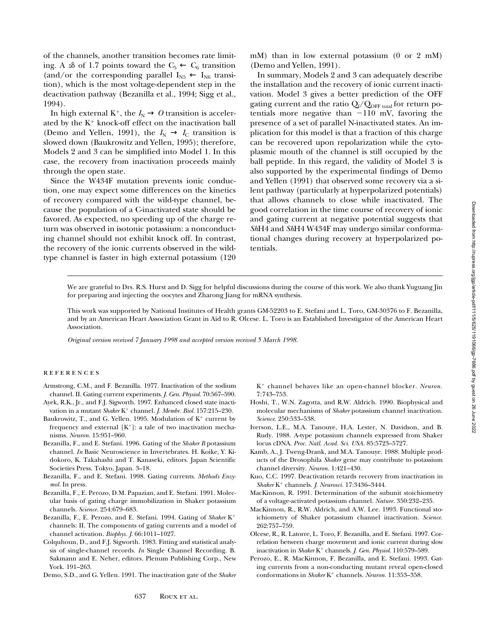of the channels, another transition becomes rate limiting. A  $\infty$  of 1.7 points toward the  $C_5 \leftarrow C_6$  transition (and/or the corresponding parallel  $I_{N5} \leftarrow I_{N6}$  transition), which is the most voltage-dependent step in the deactivation pathway (Bezanilla et al., 1994; Sigg et al., 1994).

In high external K<sup>+</sup>, the  $I_N \to O$  transition is accelerated by the  $K^+$  knock-off effect on the inactivation ball (Demo and Yellen, 1991), the  $I_N \rightarrow I_C$  transition is slowed down (Baukrowitz and Yellen, 1995); therefore, Models 2 and 3 can be simplified into Model 1. In this case, the recovery from inactivation proceeds mainly through the open state.

Since the W434F mutation prevents ionic conduction, one may expect some differences on the kinetics of recovery compared with the wild-type channel, because the population of a C-inactivated state should be favored. As expected, no speeding up of the charge return was observed in isotonic potassium: a nonconducting channel should not exhibit knock off. In contrast, the recovery of the ionic currents observed in the wildtype channel is faster in high external potassium (120 mM) than in low external potassium (0 or 2 mM) (Demo and Yellen, 1991).

In summary, Models 2 and 3 can adequately describe the installation and the recovery of ionic current inactivation. Model 3 gives a better prediction of the OFF gating current and the ratio  $Q_f/Q_{\rm OFF\ total}$  for return potentials more negative than  $-110$  mV, favoring the presence of a set of parallel N-inactivated states. An implication for this model is that a fraction of this charge can be recovered upon repolarization while the cytoplasmic mouth of the channel is still occupied by the ball peptide. In this regard, the validity of Model 3 is also supported by the experimental findings of Demo and Yellen (1991) that observed some recovery via a silent pathway (particularly at hyperpolarized potentials) that allows channels to close while inactivated. The good correlation in the time course of recovery of ionic and gating current at negative potential suggests that *Sh*H4 and *Sh*H4 W434F may undergo similar conformational changes during recovery at hyperpolarized potentials.

We are grateful to Drs. R.S. Hurst and D. Sigg for helpful discussions during the course of this work. We also thank Yuguang Jin for preparing and injecting the oocytes and Zharong Jiang for mRNA synthesis.

This work was supported by National Institutes of Health grants GM-52203 to E. Stefani and L. Toro, GM-30376 to F. Bezanilla, and by an American Heart Association Grant in Aid to R. Olcese. L. Toro is an Established Investigator of the American Heart Association.

*Original version received 7 January 1998 and accepted version received 5 March 1998.*

### **REFERENCES**

- Armstrong, C.M., and F. Bezanilla. 1977. Inactivation of the sodium channel. II. Gating current experiments. *J. Gen. Physiol.* 70:567–590.
- Ayek, R.K., Jr., and F.J. Sigworth. 1997. Enhanced closed state inactivation in a mutant *Shaker* K<sup>+</sup> channel. *J. Membr. Biol.* 157:215-230.
- Baukrowitz, T., and G. Yellen. 1995. Modulation of  $K^+$  current by frequency and external  $[K^+]$ : a tale of two inactivation mechanisms. *Neuron.* 15:951–960.
- Bezanilla, F., and E. Stefani. 1996. Gating of the *Shaker B* potassium channel. *In* Basic Neuroscience in Invertebrates. H. Koike, Y. Kidokoro, K. Takahashi and T. Kanaseki, editors. Japan Scientific Societies Press. Tokyo, Japan. 3–18.
- Bezanilla, F., and E. Stefani. 1998. Gating currents. *Methods Enzymol.* In press.
- Bezanilla, F., E. Perozo, D.M. Papazian, and E. Stefani. 1991. Molecular basis of gating charge immobilization in Shaker potassium channels. *Science.* 254:679–683.
- Bezanilla, F., E. Perozo, and E. Stefani. 1994. Gating of *Shaker* K<sup>+</sup> channels: II. The components of gating currents and a model of channel activation. *Biophys. J*. 66:1011–1027.
- Colquhoun, D., and F.J. Sigworth. 1983. Fitting and statistical analysis of single-channel records. *In* Single Channel Recording. B. Sakmann and E. Neher, editors. Plenum Publishing Corp., New York. 191–263.
- Demo, S.D., and G. Yellen. 1991. The inactivation gate of the *Shaker*

K<sup>+</sup> channel behaves like an open-channel blocker. *Neuron*. 7:743–753.

- Hoshi, T., W.N. Zagotta, and R.W. Aldrich. 1990. Biophysical and molecular mechanisms of *Shaker* potassium channel inactivation. *Science.* 250:533–538.
- Iverson, L.E., M.A. Tanouye, H.A. Lester, N. Davidson, and B. Rudy. 1988. A-type potassium channels expressed from Shaker locus cDNA. *Proc. Natl. Acad. Sci. USA.* 85:5723–5727.
- Kamb, A., J. Tweng-Drank, and M.A. Tanouye. 1988. Multiple products of the Drosophila *Shaker* gene may contribute to potassium channel diversity. *Neuron.* 1:421–430.
- Kuo, C.C. 1997. Deactivation retards recovery from inactivation in *Shaker* K<sup>1</sup> channels. *J. Neurosci.* 17:3436–3444.
- MacKinnon, R. 1991. Determination of the subunit stoichiometry of a voltage-activated potassium channel. *Nature.* 350:232–235.
- MacKinnon, R., R.W. Aldrich, and A.W. Lee. 1993. Functional stoichiometry of Shaker potassium channel inactivation. *Science.* 262:757–759.
- Olcese, R., R. Latorre, L. Toro, F. Bezanilla, and E. Stefani. 1997. Correlation between charge movement and ionic current during slow inactivation in *Shaker* K<sup>+</sup> channels. *J. Gen. Physiol.* 110:579-589.
- Perozo, E., R. MacKinnon, F. Bezanilla, and E. Stefani. 1993. Gating currents from a non-conducting mutant reveal open-closed conformations in *Shaker* K<sup>+</sup> channels. *Neuron*. 11:353-358.